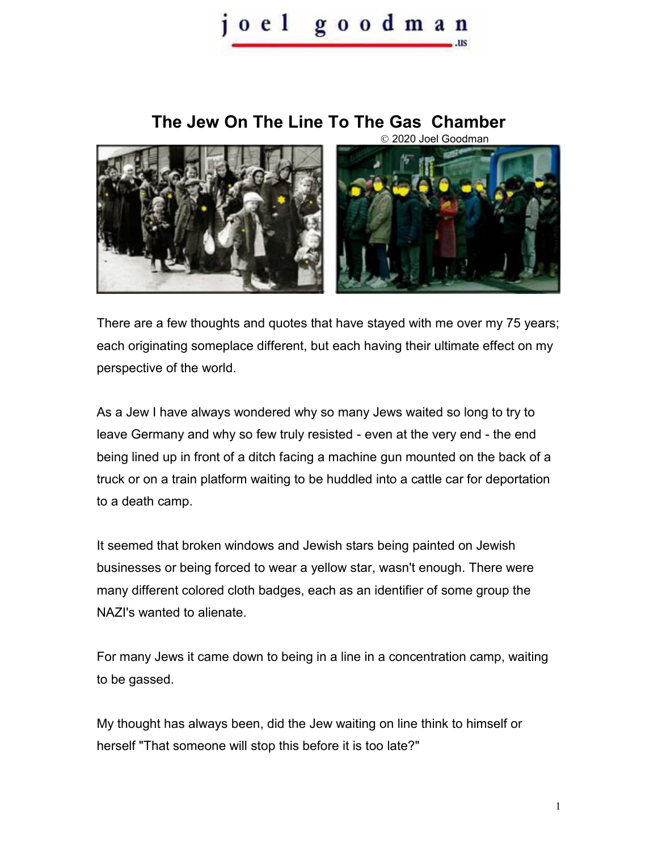## oel goodman .us

## **The Jew On The Line To The Gas Chamber**



There are a few thoughts and quotes that have stayed with me over my 75 years; each originating someplace different, but each having their ultimate effect on my perspective of the world.

As a Jew I have always wondered why so many Jews waited so long to try to leave Germany and why so few truly resisted - even at the very end - the end being lined up in front of a ditch facing a machine gun mounted on the back of a truck or on a train platform waiting to be huddled into a cattle car for deportation to a death camp.

It seemed that broken windows and Jewish stars being painted on Jewish businesses or being forced to wear a yellow star, wasn't enough. There were many different colored cloth badges, each as an identifier of some group the NAZI's wanted to alienate.

For many Jews it came down to being in a line in a concentration camp, waiting to be gassed.

My thought has always been, did the Jew waiting on line think to himself or herself "That someone will stop this before it is too late?"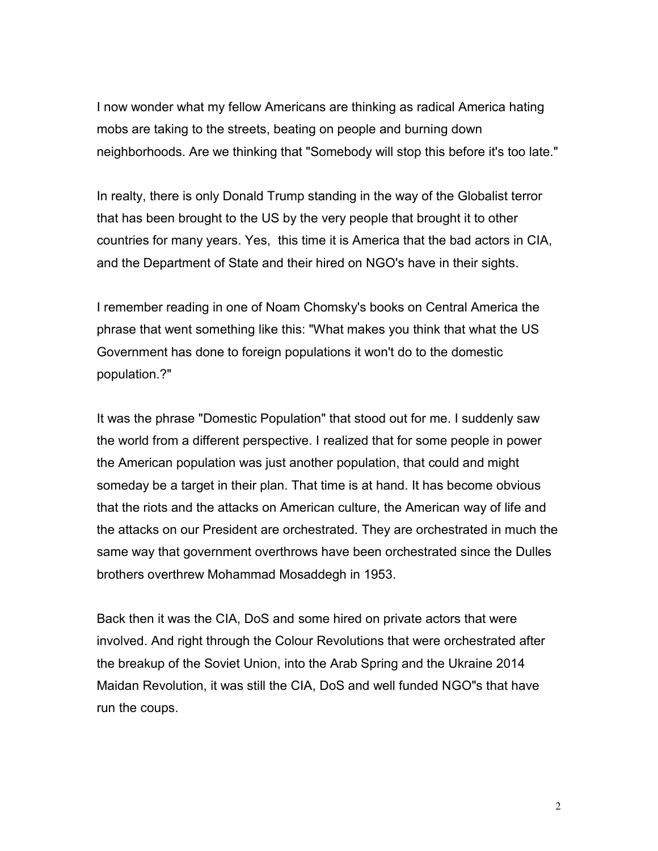I now wonder what my fellow Americans are thinking as radical America hating mobs are taking to the streets, beating on people and burning down neighborhoods. Are we thinking that "Somebody will stop this before it's too late."

In realty, there is only Donald Trump standing in the way of the Globalist terror that has been brought to the US by the very people that brought it to other countries for many years. Yes, this time it is America that the bad actors in CIA, and the Department of State and their hired on NGO's have in their sights.

I remember reading in one of Noam Chomsky's books on Central America the phrase that went something like this: "What makes you think that what the US Government has done to foreign populations it won't do to the domestic population.?"

It was the phrase "Domestic Population" that stood out for me. I suddenly saw the world from a different perspective. I realized that for some people in power the American population was just another population, that could and might someday be a target in their plan. That time is at hand. It has become obvious that the riots and the attacks on American culture, the American way of life and the attacks on our President are orchestrated. They are orchestrated in much the same way that government overthrows have been orchestrated since the Dulles brothers overthrew Mohammad Mosaddegh in 1953.

Back then it was the CIA, DoS and some hired on private actors that were involved. And right through the Colour Revolutions that were orchestrated after the breakup of the Soviet Union, into the Arab Spring and the Ukraine 2014 Maidan Revolution, it was still the CIA, DoS and well funded NGO"s that have run the coups.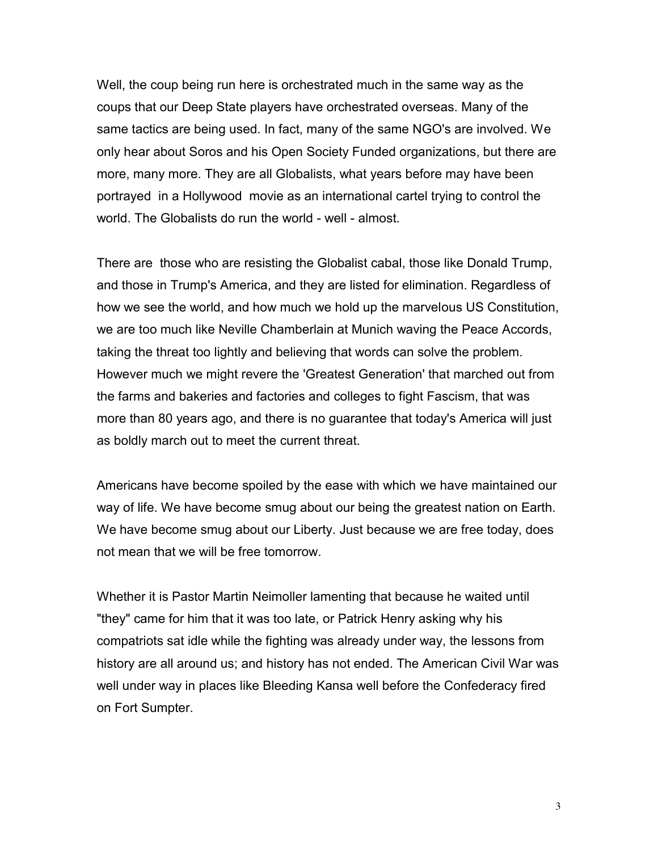Well, the coup being run here is orchestrated much in the same way as the coups that our Deep State players have orchestrated overseas. Many of the same tactics are being used. In fact, many of the same NGO's are involved. We only hear about Soros and his Open Society Funded organizations, but there are more, many more. They are all Globalists, what years before may have been portrayed in a Hollywood movie as an international cartel trying to control the world. The Globalists do run the world - well - almost.

There are those who are resisting the Globalist cabal, those like Donald Trump, and those in Trump's America, and they are listed for elimination. Regardless of how we see the world, and how much we hold up the marvelous US Constitution, we are too much like Neville Chamberlain at Munich waving the Peace Accords, taking the threat too lightly and believing that words can solve the problem. However much we might revere the 'Greatest Generation' that marched out from the farms and bakeries and factories and colleges to fight Fascism, that was more than 80 years ago, and there is no guarantee that today's America will just as boldly march out to meet the current threat.

Americans have become spoiled by the ease with which we have maintained our way of life. We have become smug about our being the greatest nation on Earth. We have become smug about our Liberty. Just because we are free today, does not mean that we will be free tomorrow.

Whether it is Pastor Martin Neimoller lamenting that because he waited until "they" came for him that it was too late, or Patrick Henry asking why his compatriots sat idle while the fighting was already under way, the lessons from history are all around us; and history has not ended. The American Civil War was well under way in places like Bleeding Kansa well before the Confederacy fired on Fort Sumpter.